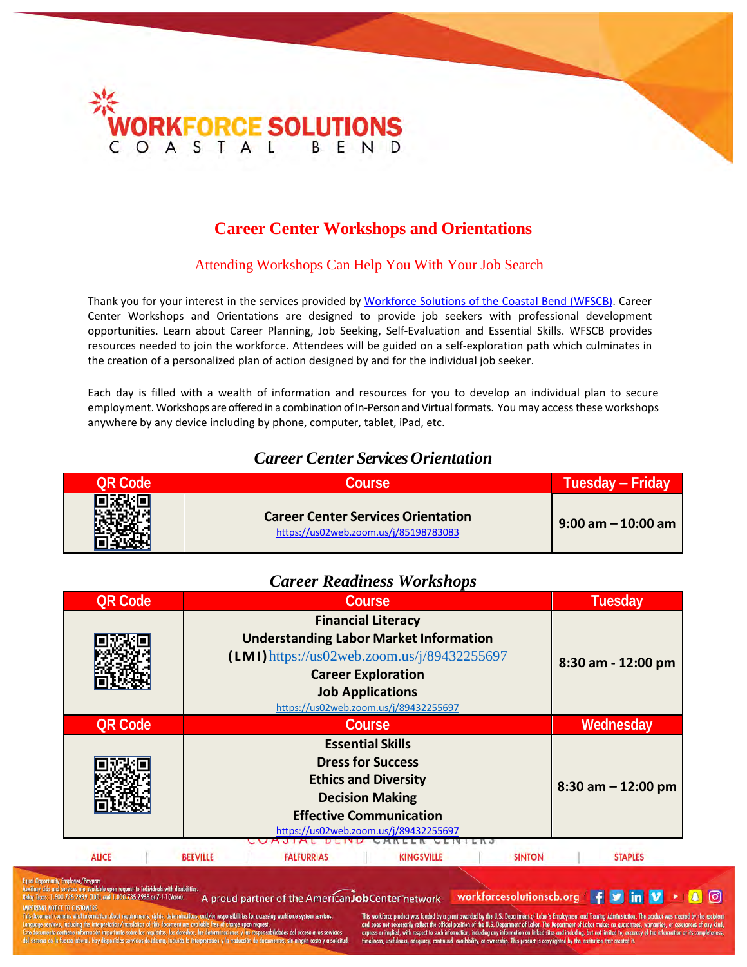

## **Career Center Workshops and Orientations**

#### Attending Workshops Can Help You With Your Job Search

Thank you for your interest in the services provided by Workforce Solutions of the Coastal Bend (WFSCB). Career Center Workshops and Orientations are designed to provide job seekers with professional development opportunities. Learn about Career Planning, Job Seeking, Self-Evaluation and Essential Skills. WFSCB provides resources needed to join the workforce. Attendees will be guided on a self-exploration path which culminates in the creation of a personalized plan of action designed by and for the individual job seeker.

Each day is filled with a wealth of information and resources for you to develop an individual plan to secure employment. Workshops are offered in a combination of In-Person and Virtual formats. You may access these workshops anywhere by any device including by phone, computer, tablet, iPad, etc.

### *Career Center Services Orientation*

| <b>OR Code</b> | <b>Course</b>                                                                      | Tuesday – Friday      |
|----------------|------------------------------------------------------------------------------------|-----------------------|
| 回涂的            | <b>Career Center Services Orientation</b><br>https://us02web.zoom.us/j/85198783083 | $9:00$ am $-10:00$ am |

#### *Career Readiness Workshops*

| <b>QR Code</b> | Course                                                                                                                                                                                                                       | <b>Tuesday</b>        |
|----------------|------------------------------------------------------------------------------------------------------------------------------------------------------------------------------------------------------------------------------|-----------------------|
|                | <b>Financial Literacy</b><br><b>Understanding Labor Market Information</b><br>$(LMI)$ https://us02web.zoom.us/j/89432255697<br><b>Career Exploration</b><br><b>Job Applications</b><br>https://us02web.zoom.us/j/89432255697 | 8:30 am - 12:00 pm    |
| <b>QR Code</b> | Course                                                                                                                                                                                                                       | Wednesday             |
|                | <b>Essential Skills</b><br><b>Dress for Success</b><br><b>Ethics and Diversity</b><br><b>Decision Making</b><br><b>Effective Communication</b><br>https://us02web.zoom.us/j/89432255697                                      | $8:30$ am $-12:00$ pm |
| <b>ALICE</b>   | <b>KINGSVILLE</b><br><b>BEEVILLE</b><br><b>FALFURRIAS</b><br><b>SINTON</b>                                                                                                                                                   | <b>STAPLES</b>        |

735.2988 or 7-1-1 (Voice).

A proud partner of the AmericanJobCenter network workforcesolutionscb.org | F | M | in | V | M | ©

ibilities for accessing workforce:

kforce product was funded by a grant awarded by the U.S. Dep The product was created spect to such in d sites and including, but not limited to, accurac